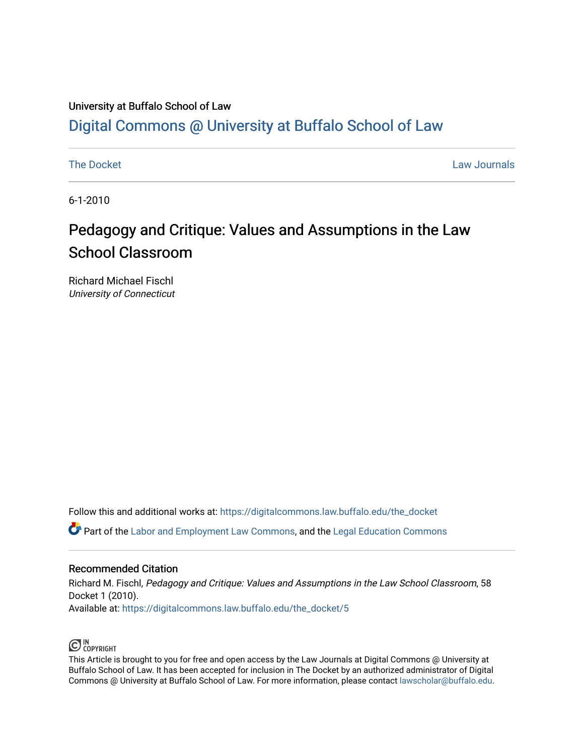## University at Buffalo School of Law [Digital Commons @ University at Buffalo School of Law](https://digitalcommons.law.buffalo.edu/)

[The Docket](https://digitalcommons.law.buffalo.edu/the_docket) **Law Journals** 

6-1-2010

## Pedagogy and Critique: Values and Assumptions in the Law School Classroom

Richard Michael Fischl University of Connecticut

Follow this and additional works at: [https://digitalcommons.law.buffalo.edu/the\\_docket](https://digitalcommons.law.buffalo.edu/the_docket?utm_source=digitalcommons.law.buffalo.edu%2Fthe_docket%2F5&utm_medium=PDF&utm_campaign=PDFCoverPages) 

Part of the [Labor and Employment Law Commons](http://network.bepress.com/hgg/discipline/909?utm_source=digitalcommons.law.buffalo.edu%2Fthe_docket%2F5&utm_medium=PDF&utm_campaign=PDFCoverPages), and the [Legal Education Commons](http://network.bepress.com/hgg/discipline/857?utm_source=digitalcommons.law.buffalo.edu%2Fthe_docket%2F5&utm_medium=PDF&utm_campaign=PDFCoverPages) 

### Recommended Citation

Richard M. Fischl, Pedagogy and Critique: Values and Assumptions in the Law School Classroom, 58 Docket 1 (2010). Available at: [https://digitalcommons.law.buffalo.edu/the\\_docket/5](https://digitalcommons.law.buffalo.edu/the_docket/5?utm_source=digitalcommons.law.buffalo.edu%2Fthe_docket%2F5&utm_medium=PDF&utm_campaign=PDFCoverPages) 



This Article is brought to you for free and open access by the Law Journals at Digital Commons @ University at Buffalo School of Law. It has been accepted for inclusion in The Docket by an authorized administrator of Digital Commons @ University at Buffalo School of Law. For more information, please contact [lawscholar@buffalo.edu](mailto:lawscholar@buffalo.edu).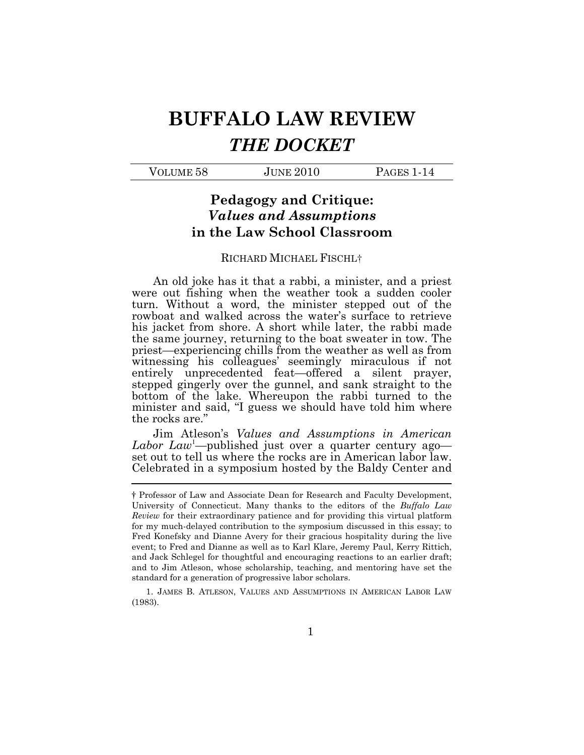# BUFFALO LAW REVIEW THE DOCKET

| VOLUME 58<br><b>JUNE 2010</b> | PAGES 1-14 |
|-------------------------------|------------|
|-------------------------------|------------|

### Pedagogy and Critique: Values and Assumptions in the Law School Classroom

### RICHARD MICHAEL FISCHL†

 An old joke has it that a rabbi, a minister, and a priest were out fishing when the weather took a sudden cooler turn. Without a word, the minister stepped out of the rowboat and walked across the water's surface to retrieve his jacket from shore. A short while later, the rabbi made the same journey, returning to the boat sweater in tow. The priest—experiencing chills from the weather as well as from witnessing his colleagues' seemingly miraculous if not entirely unprecedented feat—offered a silent prayer, stepped gingerly over the gunnel, and sank straight to the bottom of the lake. Whereupon the rabbi turned to the minister and said, "I guess we should have told him where the rocks are."

 Jim Atleson's Values and Assumptions in American Labor Law<sup>1</sup>—published just over a quarter century ago— set out to tell us where the rocks are in American labor law. Celebrated in a symposium hosted by the Baldy Center and

 $(1983).$ 1. JAMES B. ATLESON, VALUES AND ASSUMPTIONS IN AMERICAN LABOR LAW  $(1983).$ 

 † Professor of Law and Associate Dean for Research and Faculty Development, University of Connecticut. Many thanks to the editors of the Buffalo Law Review for their extraordinary patience and for providing this virtual platform for my much-delayed contribution to the symposium discussed in this essay; to Fred Konefsky and Dianne Avery for their gracious hospitality during the live event; to Fred and Dianne as well as to Karl Klare, Jeremy Paul, Kerry Rittich, and Jack Schlegel for thoughtful and encouraging reactions to an earlier draft; and to Jim Atleson, whose scholarship, teaching, and mentoring have set the standard for a generation of progressive labor scholars.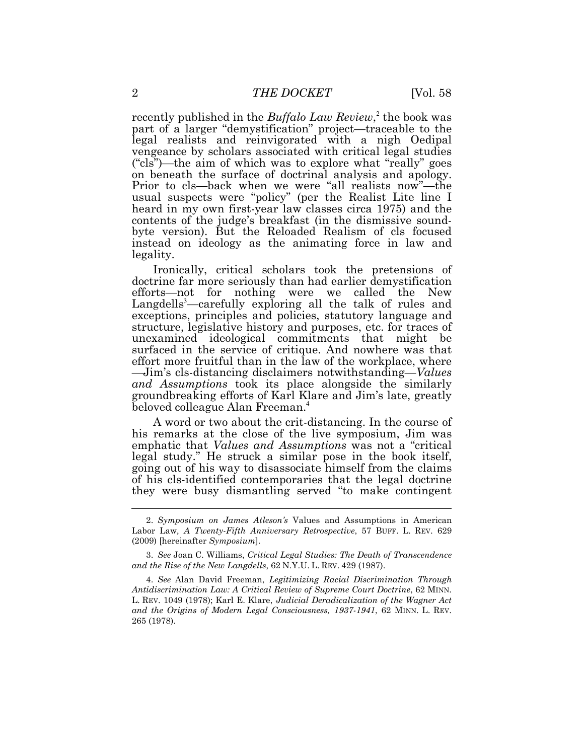recently published in the *Buffalo Law Review*,<sup>2</sup> the book was vengeance by scholars associated with critical legal studies ("cls")—the aim of which was to explore what "really" goes on beneath the surface of doctrinal analysis and apology. heard in my own first-year law classes circa 1975) and the contents of the judge's breakfast (in the dismissive sound- byte version). But the Reloaded Realism of cls focused part of a larger "demystification" project—traceable to the legal realists and reinvigorated with a nigh Oedipal Prior to cls—back when we were "all realists now"—the usual suspects were "policy" (per the Realist Lite line I instead on ideology as the animating force in law and legality.

 Ironically, critical scholars took the pretensions of doctrine far more seriously than had earlier demystification efforts—not for nothing were we called the New Langdells<sup>3</sup>—carefully exploring all the talk of rules and exceptions, principles and policies, statutory language and structure, legislative history and purposes, etc. for traces of unexamined ideological commitments that might be surfaced in the service of critique. And nowhere was that effort more fruitful than in the law of the workplace, where and Assumptions took its place alongside the similarly groundbreaking efforts of Karl Klare and Jim's late, greatly beloved colleague Alan Freeman.<sup>4</sup> —Jim's cls-distancing disclaimers notwithstanding—*Values* 

 A word or two about the crit-distancing. In the course of his remarks at the close of the live symposium, Jim was emphatic that Values and Assumptions was not a "critical" legal study." He struck a similar pose in the book itself, going out of his way to disassociate himself from the claims of his cls-identified contemporaries that the legal doctrine they were busy dismantling served "to make contingent

 Labor Law, A Twenty-Fifth Anniversary Retrospective, 57 BUFF. L. REV. 629  $(2009)$  [hereinafter Symposium]. 2. Symposium on James Atleson's Values and Assumptions in American

 and the Rise of the New Langdells, 62 N.Y.U. L. REV. 429 (1987). 3. See Joan C. Williams, Critical Legal Studies: The Death of Transcendence

 Antidiscrimination Law: A Critical Review of Supreme Court Doctrine, 62 MINN. L. REV. 1049 (1978); Karl E. Klare, Judicial Deradicalization of the Wagner Act and the Origins of Modern Legal Consciousness, 1937-1941, 62 MINN. L. REV. 265 (1978). 4. See Alan David Freeman, Legitimizing Racial Discrimination Through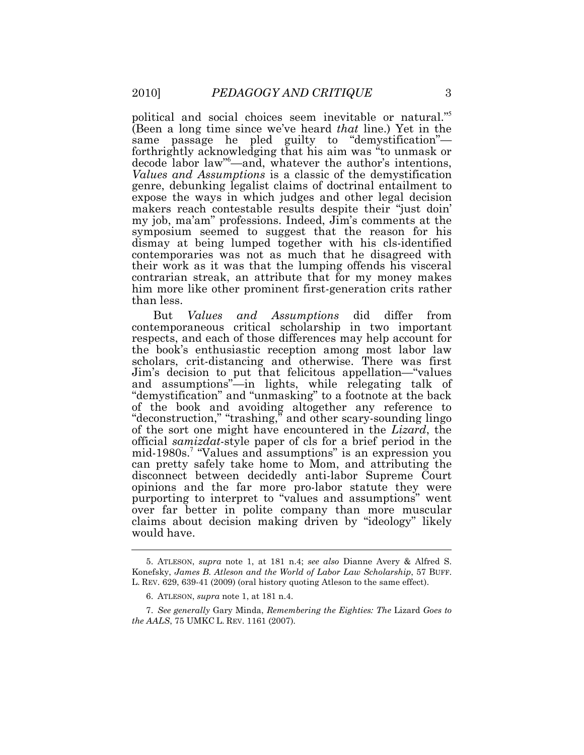political and social choices seem inevitable or natural."<sup>5</sup> same passage he pled guilty to "demystification"— forthrightly acknowledging that his aim was "to unmask or decode labor law"<sup>6</sup> —and, whatever the author's intentions, Values and Assumptions is a classic of the demystification makers reach contestable results despite their "just doin' my job, ma'am" professions. Indeed, Jim's comments at the symposium seemed to suggest that the reason for his their work as it was that the lumping offends his visceral contrarian streak, an attribute that for my money makes him more like other prominent first-generation crits rather (Been a long time since we've heard that line.) Yet in the genre, debunking legalist claims of doctrinal entailment to expose the ways in which judges and other legal decision dismay at being lumped together with his cls-identified contemporaries was not as much that he disagreed with than less.

Values contemporaneous critical scholarship in two important respects, and each of those differences may help account for the book's enthusiastic reception among most labor law scholars, crit-distancing and otherwise. There was first Jim's decision to put that felicitous appellation—"values and assumptions"—in lights, while relegating talk of "demystification" and "unmasking" to a footnote at the back  $\ddot{\phantom{0}}$ of the sort one might have encountered in the Lizard, the official samizdat-style paper of cls for a brief period in the mid-1980s.<sup>7</sup> "Values and assumptions" is an expression you can pretty safely take home to Mom, and attributing the disconnect between decidedly anti-labor Supreme Court over far better in polite company than more muscular claims about decision making driven by "ideology" likely would have. But Values and Assumptions did differ from of the book and avoiding altogether any reference to "deconstruction," "trashing," and other scary-sounding lingo opinions and the far more pro-labor statute they were purporting to interpret to "values and assumptions" went

 Konefsky, James B. Atleson and the World of Labor Law Scholarship, 57 BUFF. L. REV. 629, 639-41 (2009) (oral history quoting Atleson to the same effect). 5. ATLESON, supra note 1, at 181 n.4; see also Dianne Avery & Alfred S.

<sup>6.</sup> ATLESON, supra note 1, at 181 n.4.

 the AALS, 75 UMKC L. REV. 1161 (2007). 7. See generally Gary Minda, Remembering the Eighties: The Lizard Goes to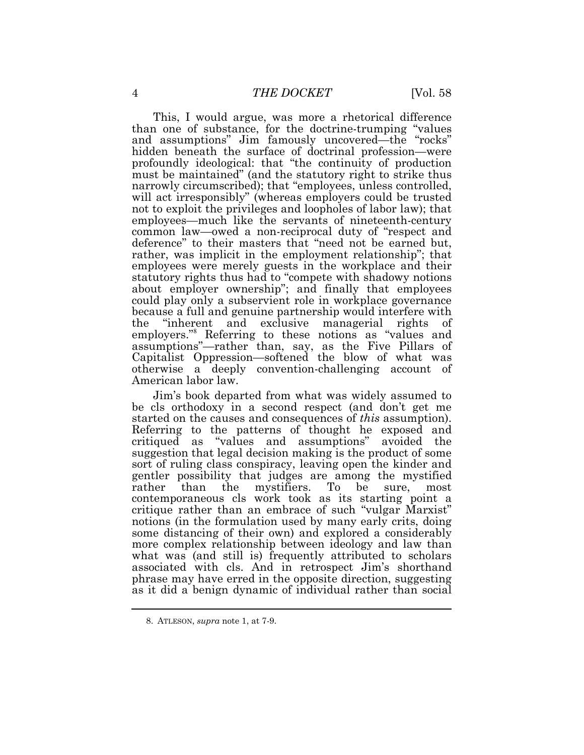This, I would argue, was more a rhetorical difference and assumptions" Jim famously uncovered—the "rocks" hidden beneath the surface of doctrinal profession—were profoundly ideological: that "the continuity of production must be maintained" (and the statutory right to strike thus not to exploit the privileges and loopholes of labor law); that employees—much like the servants of nineteenth-century common law—owed a non-reciprocal duty of "respect and employees were merely guests in the workplace and their statutory rights thus had to "compete with shadowy notions about employer ownership"; and finally that employees the "inherent and exclusive managerial rights of employers."<sup>8</sup> Referring to these notions as "values and assumptions"—rather than, say, as the Five Pillars of than one of substance, for the doctrine-trumping "values narrowly circumscribed); that "employees, unless controlled, will act irresponsibly" (whereas employers could be trusted deference" to their masters that "need not be earned but, rather, was implicit in the employment relationship"; that could play only a subservient role in workplace governance because a full and genuine partnership would interfere with Capitalist Oppression—softened the blow of what was otherwise a deeply convention-challenging account of American labor law.

 Jim's book departed from what was widely assumed to be cls orthodoxy in a second respect (and don't get me started on the causes and consequences of *this* assumption). Referring to the patterns of thought he exposed and critiqued as "values and assumptions" avoided the suggestion that legal decision making is the product of some sort of ruling class conspiracy, leaving open the kinder and gentler possibility that judges are among the mystified rather contemporaneous cls work took as its starting point a critique rather than an embrace of such "vulgar Marxist" notions (in the formulation used by many early crits, doing some distancing of their own) and explored a considerably more complex relationship between ideology and law than what was (and still is) frequently attributed to scholars associated with cls. And in retrospect Jim's shorthand phrase may have erred in the opposite direction, suggesting as it did a benign dynamic of individual rather than social than the mystifiers. To be sure, most

<sup>8.</sup> ATLESON, supra note 1, at 7-9.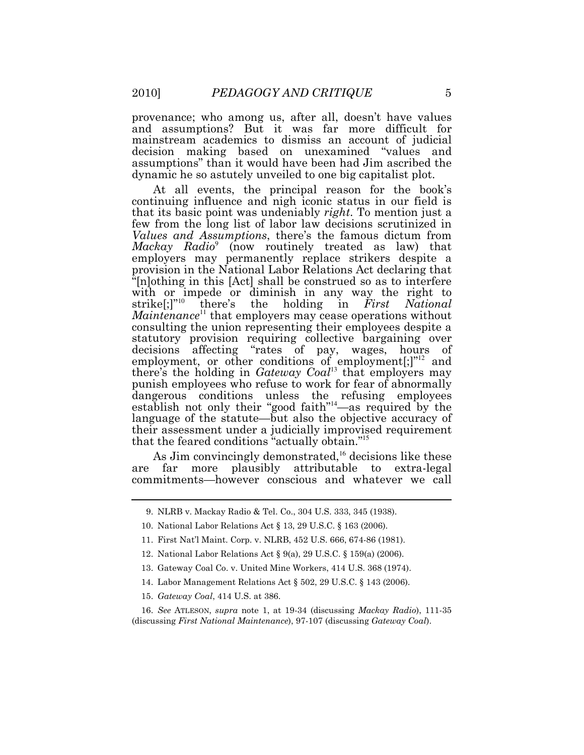provenance; who among us, after all, doesn't have values mainstream academics to dismiss an account of judicial decision making based on unexamined "values and assumptions" than it would have been had Jim ascribed the dynamic he so astutely unveiled to one big capitalist plot. and assumptions? But it was far more difficult for

that its basic point was undeniably *right*. To mention just a few from the long list of labor law decisions scrutinized in Values and Assumptions, there's the famous dictum from Mackay Radio<sup>9</sup> (now routinely treated as law) that employers may permanently replace strikers despite a provision in the National Labor Relations Act declaring that "[n]othing in this [Act] shall be construed so as to interfere with or impede or diminish in any way the right to strike[;]"<sup>10</sup> there's the holding in  $First$  National  $M$ aintenance<sup>11</sup> that employers may cease operations without consulting the union representing their employees despite a statutory provision requiring collective bargaining over decisions affecting "rates of pay, wages, hours of punish employees who refuse to work for fear of abnormally language of the statute—but also the objective accuracy of their assessment under a judicially improvised requirement that the feared conditions "actually obtain."<sup>15</sup> At all events, the principal reason for the book's continuing influence and nigh iconic status in our field is employment, or other conditions of employment[;]"<sup>12</sup> and there's the holding in Gateway  $Coal<sup>13</sup>$  that employers may dangerous conditions unless the refusing employees establish not only their "good faith"<sup>14</sup>—as required by the

As Jim convincingly demonstrated,<sup>16</sup> decisions like these are commitments—however conscious and whatever we call far more plausibly attributable to extra-legal

<sup>9.</sup> NLRB v. Mackay Radio & Tel. Co., 304 U.S. 333, 345 (1938).

<sup>10.</sup> National Labor Relations Act § 13, 29 U.S.C. § 163 (2006).

<sup>11.</sup> First Nat'l Maint. Corp. v. NLRB, 452 U.S. 666, 674-86 (1981).

<sup>12.</sup> National Labor Relations Act § 9(a), 29 U.S.C. § 159(a) (2006).

<sup>13.</sup> Gateway Coal Co. v. United Mine Workers, 414 U.S. 368 (1974).

<sup>14.</sup> Labor Management Relations Act § 502, 29 U.S.C. § 143 (2006).

<sup>15.</sup> Gateway Coal, 414 U.S. at 386.

 (discussing First National Maintenance), 97-107 (discussing Gateway Coal). 16. See ATLESON, supra note 1, at 19-34 (discussing Mackay Radio), 111-35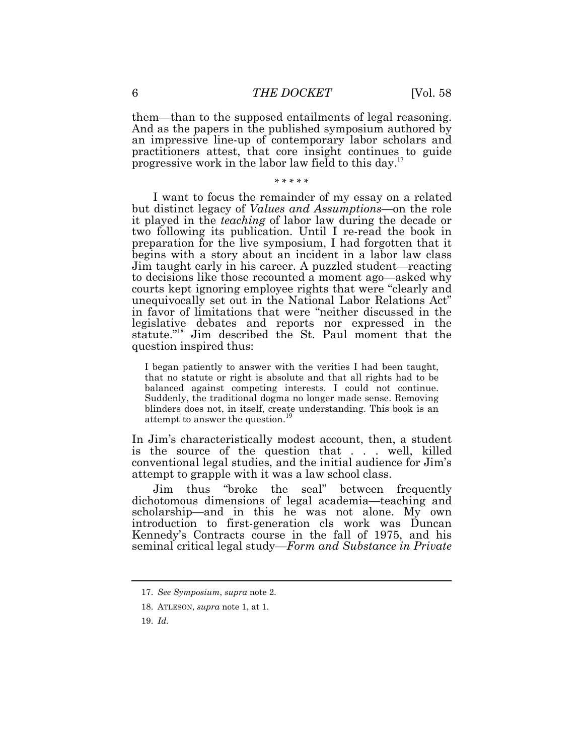them—than to the supposed entailments of legal reasoning. an impressive line-up of contemporary labor scholars and practitioners attest, that core insight continues to guide progressive work in the labor law field to this day.<sup>17</sup> And as the papers in the published symposium authored by

\* \* \* \* \*

 I want to focus the remainder of my essay on a related but distinct legacy of *Values and Assumptions*—on the role it played in the teaching of labor law during the decade or two following its publication. Until I re-read the book in preparation for the live symposium, I had forgotten that it begins with a story about an incident in a labor law class Jim taught early in his career. A puzzled student—reacting to decisions like those recounted a moment ago—asked why courts kept ignoring employee rights that were "clearly and unequivocally set out in the National Labor Relations Act" in favor of limitations that were "neither discussed in the question inspired thus: legislative debates and reports nor expressed in the statute."<sup>18</sup> Jim described the St. Paul moment that the

 I began patiently to answer with the verities I had been taught, that no statute or right is absolute and that all rights had to be balanced against competing interests. I could not continue. Suddenly, the traditional dogma no longer made sense. Removing blinders does not, in itself, create understanding. This book is an attempt to answer the question.<sup>19</sup> attempt to answer the question.

 In Jim's characteristically modest account, then, a student is the source of the question that . . . well, killed conventional legal studies, and the initial audience for Jim's attempt to grapple with it was a law school class.

Jim dichotomous dimensions of legal academia—teaching and introduction to first-generation cls work was Duncan Kennedy's Contracts course in the fall of 1975, and his thus "broke the seal" between frequently scholarship—and in this he was not alone. My own seminal critical legal study—Form and Substance in Private

<sup>17.</sup> See Symposium, supra note 2.

<sup>18.</sup> ATLESON, supra note 1, at 1.

<sup>19.</sup> Id.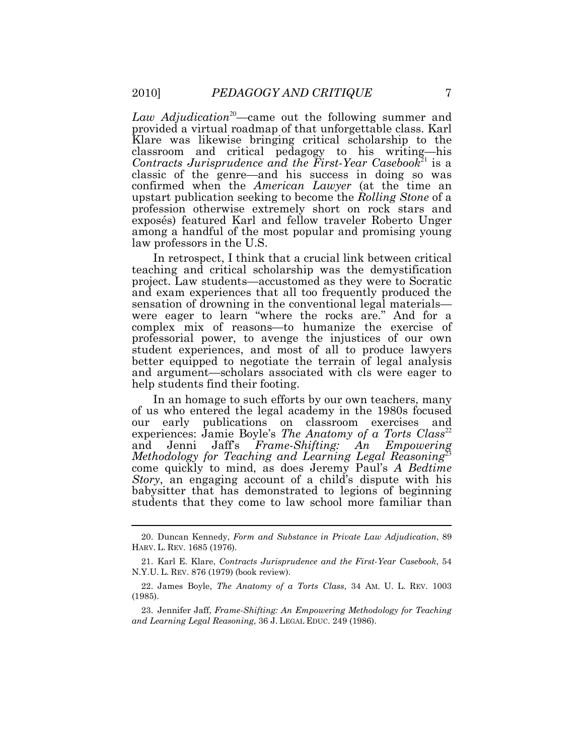Law Adjudication<sup>20</sup>—came out the following summer and Klare was likewise bringing critical scholarship to the classroom and critical pedagogy to his writing—his Contracts Jurisprudence and the First-Year Casebook<sup>21</sup> is a classic of the genre—and his success in doing so was profession otherwise extremely short on rock stars and exposés) featured Karl and fellow traveler Roberto Unger among a handful of the most popular and promising young provided a virtual roadmap of that unforgettable class. Karl confirmed when the American Lawyer (at the time an upstart publication seeking to become the Rolling Stone of a law professors in the U.S.

 In retrospect, I think that a crucial link between critical teaching and critical scholarship was the demystification project. Law students—accustomed as they were to Socratic and exam experiences that all too frequently produced the sensation of drowning in the conventional legal materials— were eager to learn "where the rocks are." And for a complex mix of reasons—to humanize the exercise of professorial power, to avenge the injustices of our own student experiences, and most of all to produce lawyers better equipped to negotiate the terrain of legal analysis and argument—scholars associated with cls were eager to help students find their footing.

 In an homage to such efforts by our own teachers, many of us who entered the legal academy in the 1980s focused our experiences: Jamie Boyle's The Anatomy of a Torts Class<sup>22</sup> and Methodology for Teaching and Learning Legal Reasoning<sup>23</sup> come quickly to mind, as does Jeremy Paul's A Bedtime Story, an engaging account of a child's dispute with his babysitter that has demonstrated to legions of beginning students that they come to law school more familiar than early publications on classroom exercises and Jenni Jaff's Frame-Shifting: An Empowering

 HARV. L. REV. 1685 (1976). 20. Duncan Kennedy, Form and Substance in Private Law Adjudication, 89

 N.Y.U. L. REV. 876 (1979) (book review). 21. Karl E. Klare, Contracts Jurisprudence and the First-Year Casebook, 54

<sup>22.</sup> James Boyle, The Anatomy of a Torts Class, 34 AM. U. L. REV. 1003 (1985).

 and Learning Legal Reasoning, 36 J. LEGAL EDUC. 249 (1986). 23. Jennifer Jaff, Frame-Shifting: An Empowering Methodology for Teaching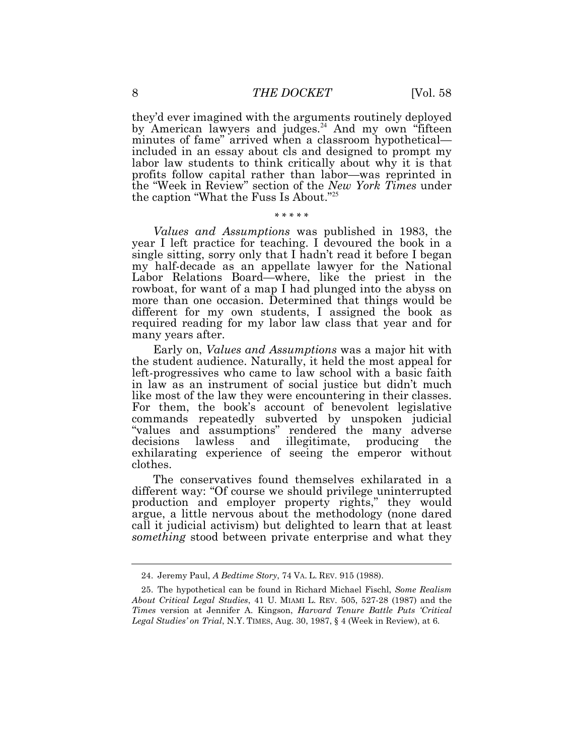they'd ever imagined with the arguments routinely deployed minutes of fame" arrived when a classroom hypothetical— included in an essay about cls and designed to prompt my labor law students to think critically about why it is that profits follow capital rather than labor—was reprinted in by American lawyers and [judges.](https://judges.24)<sup>24</sup> And my own "fifteen the "Week in Review" section of the New York Times under the caption "What the Fuss Is About."<sup>25</sup>

### \* \* \* \* \*

 Values and Assumptions was published in 1983, the year I left practice for teaching. I devoured the book in a single sitting, sorry only that I hadn't read it before I began my half-decade as an appellate lawyer for the National Labor Relations Board—where, like the priest in the rowboat, for want of a map I had plunged into the abyss on more than one occasion. Determined that things would be different for my own students, I assigned the book as required reading for my labor law class that year and for many years after.

 Early on, Values and Assumptions was a major hit with the student audience. Naturally, it held the most appeal for left-progressives who came to law school with a basic faith in law as an instrument of social justice but didn't much like most of the law they were encountering in their classes. commands repeatedly subverted by unspoken judicial exhilarating experience of seeing the emperor without For them, the book's account of benevolent legislative "values and assumptions" rendered the many adverse decisions lawless and illegitimate, producing the clothes.

 The conservatives found themselves exhilarated in a different way: "Of course we should privilege uninterrupted production and employer property rights," they would argue, a little nervous about the methodology (none dared call it judicial activism) but delighted to learn that at least something stood between private enterprise and what they

<sup>24.</sup> Jeremy Paul, A Bedtime Story, 74 VA. L. REV. 915 (1988).

 About Critical Legal Studies, 41 U. MIAMI L. REV. 505, 527-28 (1987) and the Times version at Jennifer A. Kingson, Harvard Tenure Battle Puts 'Critical Legal Studies' on Trial, N.Y. TIMES, Aug. 30, 1987, § 4 (Week in Review), at 6. 25. The hypothetical can be found in Richard Michael Fischl, Some Realism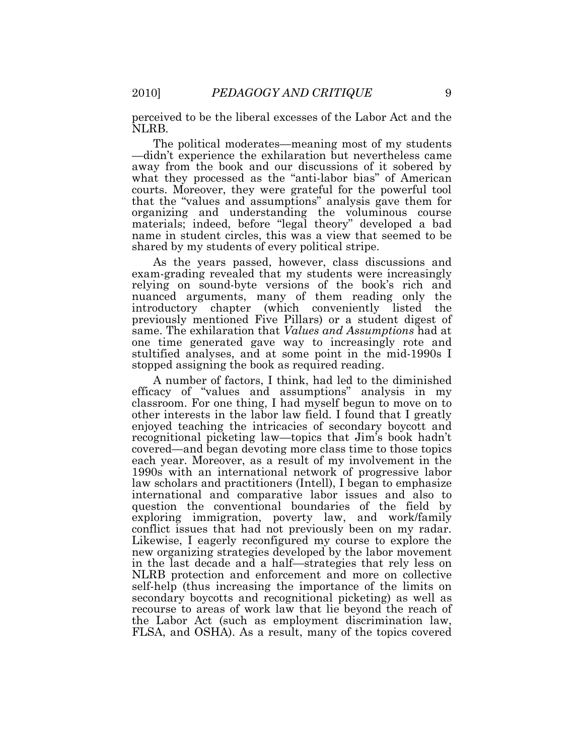perceived to be the liberal excesses of the Labor Act and the NLRB.

 The political moderates—meaning most of my students —didn't experience the exhilaration but nevertheless came away from the book and our discussions of it sobered by what they processed as the "anti-labor bias" of American courts. Moreover, they were grateful for the powerful tool that the "values and assumptions" analysis gave them for organizing and understanding the voluminous course materials; indeed, before "legal theory" developed a bad name in student circles, this was a view that seemed to be shared by my students of every political stripe.

 As the years passed, however, class discussions and exam-grading revealed that my students were increasingly nuanced arguments, many of them reading only the introductory chapter (which conveniently listed the previously mentioned Five Pillars) or a student digest of same. The exhilaration that Values and Assumptions had at stopped assigning the book as required reading. relying on sound-byte versions of the book's rich and one time generated gave way to increasingly rote and stultified analyses, and at some point in the mid-1990s I

 A number of factors, I think, had led to the diminished efficacy of "values and assumptions" analysis in my classroom. For one thing, I had myself begun to move on to enjoyed teaching the intricacies of secondary boycott and recognitional picketing law—topics that Jim's book hadn't covered—and began devoting more class time to those topics 1990s with an international network of progressive labor law scholars and practitioners (Intell), I began to emphasize international and comparative labor issues and also to question the conventional boundaries of the field by exploring immigration, poverty law, and work/family conflict issues that had not previously been on my radar. Likewise, I eagerly reconfigured my course to explore the new organizing strategies developed by the labor movement in the last decade and a half—strategies that rely less on NLRB protection and enforcement and more on collective secondary boycotts and recognitional picketing) as well as recourse to areas of work law that lie beyond the reach of the Labor Act (such as employment discrimination law, FLSA, and OSHA). As a result, many of the topics covered other interests in the labor law field. I found that I greatly each year. Moreover, as a result of my involvement in the self-help (thus increasing the importance of the limits on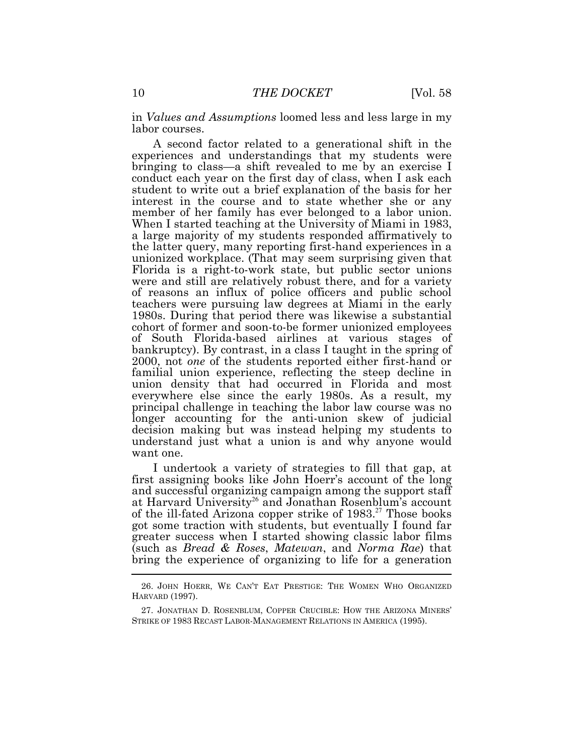in Values and Assumptions loomed less and less large in my labor courses.

 A second factor related to a generational shift in the experiences and understandings that my students were bringing to class—a shift revealed to me by an exercise I conduct each year on the first day of class, when I ask each student to write out a brief explanation of the basis for her interest in the course and to state whether she or any member of her family has ever belonged to a labor union. When I started teaching at the University of Miami in 1983, a large majority of my students responded affirmatively to the latter query, many reporting first-hand experiences in a unionized workplace. (That may seem surprising given that Florida is a right-to-work state, but public sector unions were and still are relatively robust there, and for a variety of reasons an influx of police officers and public school teachers were pursuing law degrees at Miami in the early 1980s. During that period there was likewise a substantial cohort of former and soon-to-be former unionized employees of South Florida-based airlines at various stages of bankruptcy). By contrast, in a class I taught in the spring of 2000, not one of the students reported either first-hand or familial union experience, reflecting the steep decline in union density that had occurred in Florida and most everywhere else since the early 1980s. As a result, my principal challenge in teaching the labor law course was no longer accounting for the anti-union skew of judicial decision making but was instead helping my students to understand just what a union is and why anyone would want one.

 I undertook a variety of strategies to fill that gap, at first assigning books like John Hoerr's account of the long and successful organizing campaign among the support staff at Harvard University<sup>26</sup> and Jonathan Rosenblum's account of the ill-fated Arizona copper strike of 1983.<sup>27</sup> Those books got some traction with students, but eventually I found far greater success when I started showing classic labor films (such as Bread & Roses, Matewan, and Norma Rae) that bring the experience of organizing to life for a generation

 HARVARD (1997). 26. JOHN HOERR, WE CAN'T EAT PRESTIGE: THE WOMEN WHO ORGANIZED

 STRIKE OF 1983 RECAST LABOR-MANAGEMENT RELATIONS IN AMERICA (1995). 27. JONATHAN D. ROSENBLUM, COPPER CRUCIBLE: HOW THE ARIZONA MINERS'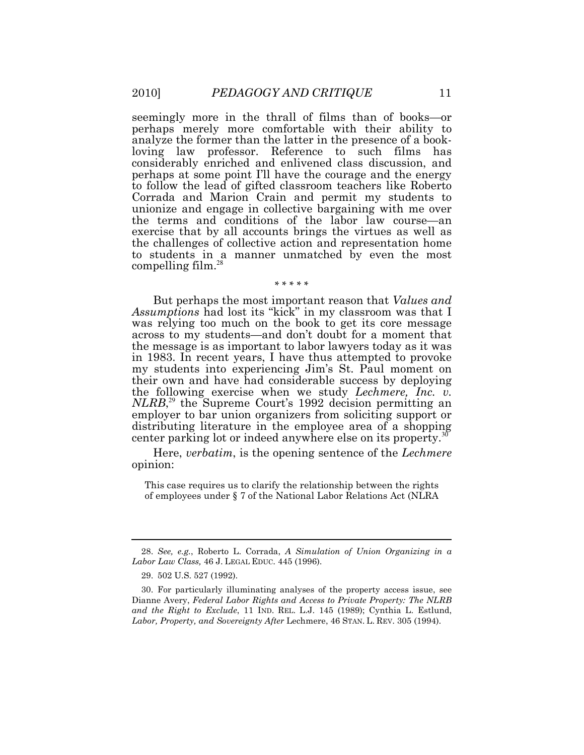seemingly more in the thrall of films than of books—or perhaps merely more comfortable with their ability to analyze the former than the latter in the presence of a book- loving law professor. Reference to such films has considerably enriched and enlivened class discussion, and perhaps at some point I'll have the courage and the energy unionize and engage in collective bargaining with me over the terms and conditions of the labor law course—an exercise that by all accounts brings the virtues as well as [compelling film.](https://compellingfilm.28)<sup>28</sup> to follow the lead of gifted classroom teachers like Roberto Corrada and Marion Crain and permit my students to the challenges of collective action and representation home to students in a manner unmatched by even the most

### \* \* \* \* \*

But perhaps the most important reason that Values and Assumptions had lost its "kick" in my classroom was that I was relying too much on the book to get its core message across to my students—and don't doubt for a moment that the message is as important to labor lawyers today as it was in 1983. In recent years, I have thus attempted to provoke my students into experiencing Jim's St. Paul moment on their own and have had considerable success by deploying the following exercise when we study Lechmere, Inc. v. NLRB,<sup>29</sup> the Supreme Court's 1992 decision permitting an employer to bar union organizers from soliciting support or distributing literature in the employee area of a shopping center parking lot or indeed anywhere else on its [property.](https://property.30)<sup>30</sup>

Here, verbatim, is the opening sentence of the Lechmere opinion:

 This case requires us to clarify the relationship between the rights of employees under § 7 of the National Labor Relations Act (NLRA

 $Labor\ Law\ Class, 46\ J.$  Legal Educ. 445 (1996). 28. See, e.g., Roberto L. Corrada, A Simulation of Union Organizing in a

<sup>29. 502</sup> U.S. 527 (1992).

 Dianne Avery, Federal Labor Rights and Access to Private Property: The NLRB and the Right to Exclude, 11 IND. REL. L.J. 145 (1989); Cynthia L. Estlund, Labor, Property, and Sovereignty After Lechmere, 46 STAN. L. REV. 305 (1994). 30. For particularly illuminating analyses of the property access issue, see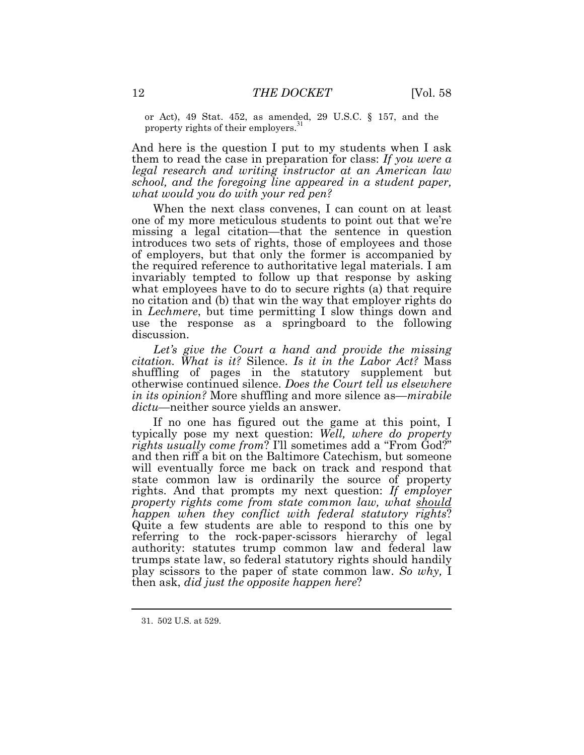or Act), 49 Stat. 452, as amended, 29 U.S.C. § 157, and the property rights of their employers.<sup>31</sup> property rights of their employers.

 And here is the question I put to my students when I ask them to read the case in preparation for class: If you were  $a$  school, and the foregoing line appeared in a student paper, what would you do with your red pen? legal research and writing instructor at an American law

 When the next class convenes, I can count on at least one of my more meticulous students to point out that we're missing a legal citation—that the sentence in question the required reference to authoritative legal materials. I am invariably tempted to follow up that response by asking what employees have to do to secure rights (a) that require no citation and (b) that win the way that employer rights do in Lechmere, but time permitting I slow things down and use the response as a springboard to the following introduces two sets of rights, those of employees and those of employers, but that only the former is accompanied by discussion.

 Let's give the Court a hand and provide the missing citation. What is it? Silence. Is it in the Labor Act? Mass shuffling of pages in the statutory supplement but otherwise continued silence. Does the Court tell us elsewhere in its opinion? More shuffling and more silence as—mirabile dictu—neither source yields an answer.

 If no one has figured out the game at this point, I typically pose my next question: Well, where do property rights usually come from? I'll sometimes add a "From God?" and then riff a bit on the Baltimore Catechism, but someone will eventually force me back on track and respond that state common law is ordinarily the source of property rights. And that prompts my next question: If employer property rights come from state common law, what should happen when they conflict with federal statutory rights? Quite a few students are able to respond to this one by referring to the rock-paper-scissors hierarchy of legal authority: statutes trump common law and federal law trumps state law, so federal statutory rights should handily play scissors to the paper of state common law. So why, I then ask, did just the opposite happen here?

<sup>31. 502</sup> U.S. at 529.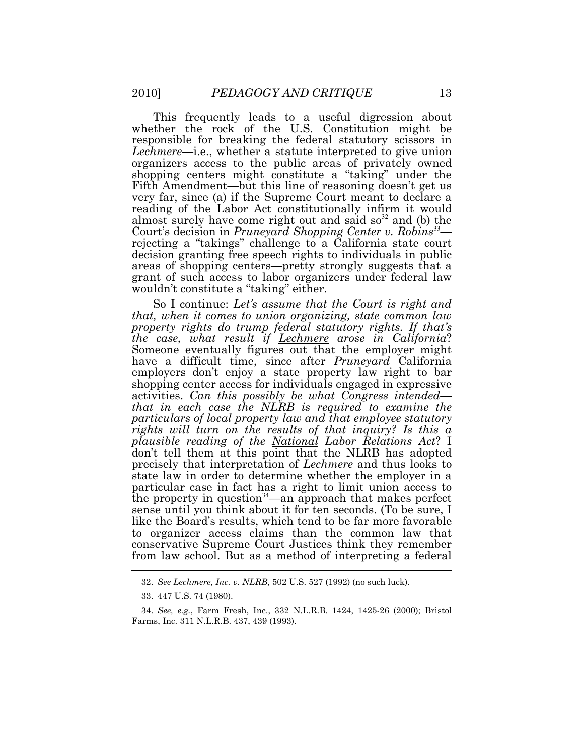This frequently leads to a useful digression about responsible for breaking the federal statutory scissors in Lechmere—i.e., whether a statute interpreted to give union organizers access to the public areas of privately owned shopping centers might constitute a "taking" under the reading of the Labor Act constitutionally infirm it would almost surely have come right out and said  $so^{32}$  and (b) the Court's decision in Pruneyard Shopping Center v. Robins<sup>33</sup>— decision granting free speech rights to individuals in public areas of shopping centers—pretty strongly suggests that a grant of such access to labor organizers under federal law wouldn't constitute a "taking" either. whether the rock of the U.S. Constitution might be Fifth Amendment—but this line of reasoning doesn't get us very far, since (a) if the Supreme Court meant to declare a rejecting a "takings" challenge to a California state court

So I continue: Let's assume that the Court is right and that, when it comes to union organizing, state common law property rights <u>do</u> trump federal statutory rights. If that's the case, what result if <u>Lechmere</u> arose in California? Someone eventually figures out that the employer might have a difficult time, since after Pruneyard California employers don't enjoy a state property law right to bar shopping center access for individuals engaged in expressive activities. Can this possibly be what Congress intended— that in each case the NLRB is required to examine the particulars of local property law and that employee statutory rights will turn on the results of that inquiry? Is this a plausible reading of the <u>National</u> Labor Relations Act? I don't tell them at this point that the NLRB has adopted precisely that interpretation of *Lechmere* and thus looks to state law in order to determine whether the employer in a sense until you think about it for ten seconds. (To be sure, I like the Board's results, which tend to be far more favorable to organizer access claims than the common law that conservative Supreme Court Justices think they remember from law school. But as a method of interpreting a federal particular case in fact has a right to limit union access to the property in question<sup>34</sup>—an approach that makes perfect

<sup>32.</sup> See Lechmere, Inc. v. NLRB, 502 U.S. 527 (1992) (no such luck).

<sup>33. 447</sup> U.S. 74 (1980).

 Farms, Inc. 311 N.L.R.B. 437, 439 (1993). 34. See, e.g., Farm Fresh, Inc., 332 N.L.R.B. 1424, 1425-26 (2000); Bristol